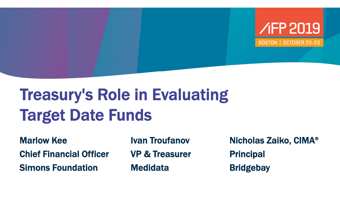

**BOSTON | OCTOBER 20-23** 

## Treasury's Role in Evaluating Target Date Funds

Marlow KeeChief Financial OfficerSimons Foundation

Ivan TroufanovVP & Treasurer**Medidata** 

Nicholas Zaiko, CIMA ® **Principal Bridgebay**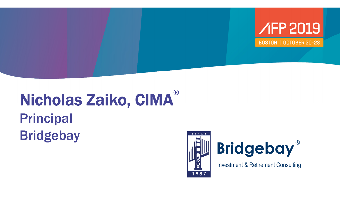

#### Nicholas Zaiko, CIMA ® Principal Bridgebay<br> **Bridgebay**





Investment & Retirement Consulting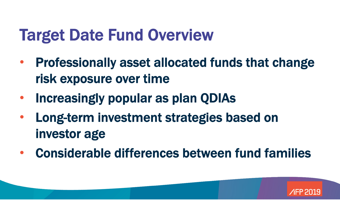#### Target Date Fund Overview

- • Professionally asset allocated funds that change risk exposure over time
- •Increasingly popular as plan QDIAs
- • Long-term investment strategies based on investor age
- $\bullet$ Considerable differences between fund families

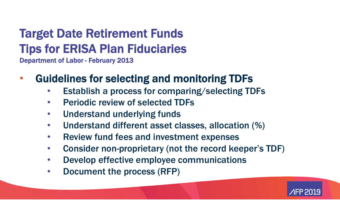#### Target Date Retirement Funds Tips for ERISA Plan Fiduciaries Department of Labor - February 2013

- $\bullet$  Guidelines for selecting and monitoring TDFs
	- $\bullet$ Establish a process for comparing/selecting TDFs
	- $\bullet$ Periodic review of selected TDFs
	- $\bullet$ Understand underlying funds
	- $\bullet$ Understand different asset classes, allocation (%)
	- $\bullet$ Review fund fees and investment expenses
	- $\bullet$ Consider non-proprietary (not the record keeper's TDF)
	- $\bullet$ Develop effective employee communications
	- $\bullet$ Document the process (RFP)

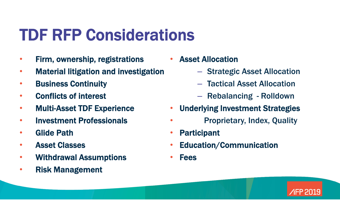#### TDF RFP Considerations

- $\bullet$ Firm, ownership, registrations
- $\bullet$ Material litigation and investigation
- $\bullet$ Business Continuity
- $\bullet$ Conflicts of interest
- $\bullet$ Multi-Asset TDF Experience
- $\bullet$ Investment Professionals
- •Glide Path
- $\bullet$ Asset Classes
- •Withdrawal Assumptions
- $\bullet$ Risk Management

• Asset Allocation

- Strategic Asset Allocation
- Tactical Asset Allocation
- –Rebalancing - Rolldown
- $\bullet$ Underlying Investment Strategies
- •Proprietary, Index, Quality
- •Participant
- •Education/Communication
- $\bullet$ Fees

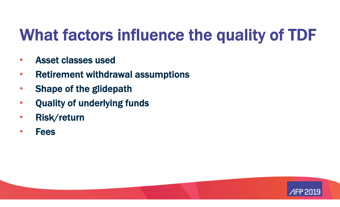### What factors influence the quality of TDF

- $\bullet$ Asset classes used
- $\bullet$ Retirement withdrawal assumptions
- $\bullet$ Shape of the glidepath
- $\bullet$ Quality of underlying funds
- $\bullet$ Risk/return
- $\bullet$ Fees

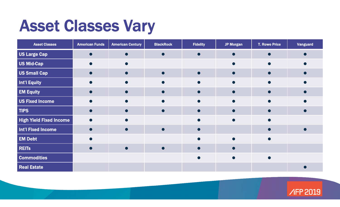#### Asset Classes Vary

| <b>Asset Classes</b>           | <b>American Funds</b> | <b>American Century</b> | <b>BlackRock</b> | <b>Fidelity</b> | <b>JP Morgan</b> | <b>T. Rowe Price</b> | <b>Vanguard</b> |
|--------------------------------|-----------------------|-------------------------|------------------|-----------------|------------------|----------------------|-----------------|
| US Large Cap                   |                       |                         | $\bullet$        | $\bullet$       |                  |                      |                 |
| <b>US Mid-Cap</b>              |                       |                         |                  |                 |                  |                      |                 |
| <b>US Small Cap</b>            |                       |                         |                  |                 |                  |                      |                 |
| <b>Int'l Equity</b>            |                       |                         |                  |                 |                  |                      |                 |
| <b>EM Equity</b>               |                       |                         |                  |                 |                  |                      |                 |
| <b>US Fixed Income</b>         |                       |                         |                  |                 |                  |                      |                 |
| <b>TIPS</b>                    |                       |                         | O                |                 |                  |                      |                 |
| <b>High Yield Fixed Income</b> |                       |                         |                  |                 |                  |                      |                 |
| <b>Int'l Fixed Income</b>      |                       |                         |                  |                 |                  |                      |                 |
| <b>EM Debt</b>                 |                       |                         |                  |                 |                  | $\bullet$            |                 |
| <b>REITS</b>                   |                       |                         |                  |                 |                  |                      |                 |
| <b>Commodities</b>             |                       |                         |                  |                 |                  |                      |                 |
| <b>Real Estate</b>             |                       |                         |                  |                 |                  |                      |                 |

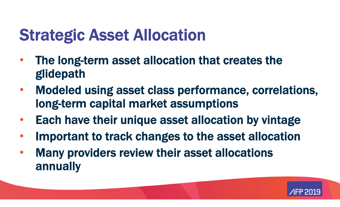#### Strategic Asset Allocation

- $\bullet$  The long-term asset allocation that creates the glidepath
- $\bullet$  Modeled using asset class performance, correlations, long-term capital market assumptions
- $\bullet$ Each have their unique asset allocation by vintage
- $\bullet$ Important to track changes to the asset allocation
- $\bullet$  Many providers review their asset allocations annually

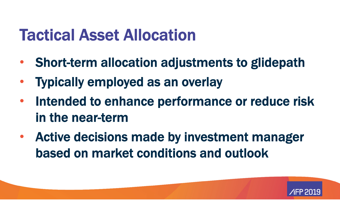#### Tactical Asset Allocation

- •Short-term allocation adjustments to glidepath
- $\bullet$ Typically employed as an overlay
- • Intended to enhance performance or reduce risk in the near-term
- Active decisions made by investment manager based on market conditions and outlook

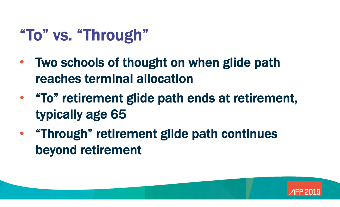### "To" vs. "Through"

- $\bullet$  Two schools of thought on when glide path reaches terminal allocation
- "To" retirement glide path ends at retirement, typically age 65
- "Through" retirement glide path continues beyond retirement

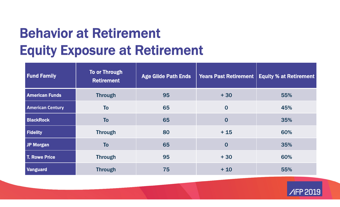#### Behavior at Retirement Equity Exposure at Retirement

| <b>Fund Family</b>      | <b>To or Through</b><br><b>Retirement</b> | <b>Age Glide Path Ends</b> | <b>Years Past Retirement</b> | <b>Equity % at Retirement</b> |
|-------------------------|-------------------------------------------|----------------------------|------------------------------|-------------------------------|
| <b>American Funds</b>   | <b>Through</b>                            | 95                         | $+30$                        | 55%                           |
| <b>American Century</b> | <b>To</b>                                 | 65                         | $\bf{0}$                     | 45%                           |
| <b>BlackRock</b>        | <b>To</b>                                 | 65                         | $\bf{0}$                     | 35%                           |
| Fidelity                | <b>Through</b>                            | 80                         | $+15$                        | 60%                           |
| JP Morgan               | <b>To</b>                                 | 65                         | $\bf{0}$                     | 35%                           |
| T. Rowe Price           | <b>Through</b>                            | 95                         | $+30$                        | 60%                           |
| <b>Vanguard</b>         | <b>Through</b>                            | 75                         | $+10$                        | 55%                           |

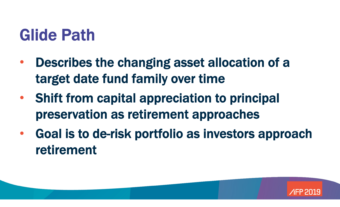#### Glide Path

- $\bullet$  Describes the changing asset allocation of a target date fund family over time
- • Shift from capital appreciation to principal preservation as retirement approaches
- • Goal is to de-risk portfolio as investors approach retirement

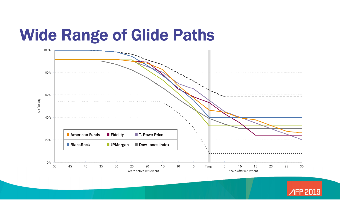#### Wide Range of Glide Paths



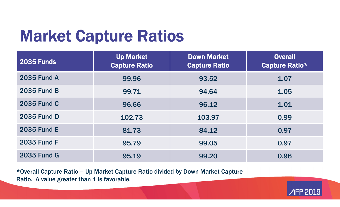### Market Capture Ratios

| <b>2035 Funds</b>  | <b>Up Market</b><br><b>Capture Ratio</b> | <b>Down Market</b><br><b>Capture Ratio</b> | <b>Overall</b><br><b>Capture Ratio*</b> |
|--------------------|------------------------------------------|--------------------------------------------|-----------------------------------------|
| <b>2035 Fund A</b> | 99.96                                    | 93.52                                      | 1.07                                    |
| <b>2035 Fund B</b> | 99.71                                    | 94.64                                      | 1.05                                    |
| <b>2035 Fund C</b> | 96.66                                    | 96.12                                      | 1.01                                    |
| <b>2035 Fund D</b> | 102.73                                   | 103.97                                     | 0.99                                    |
| <b>2035 Fund E</b> | 81.73                                    | 84.12                                      | 0.97                                    |
| <b>2035 Fund F</b> | 95.79                                    | 99.05                                      | 0.97                                    |
| <b>2035 Fund G</b> | 95.19                                    | 99.20                                      | 0.96                                    |

\*Overall Capture Ratio = Up Market Capture Ratio divided by Down Market Capture Ratio. A value greater than 1 is favorable.

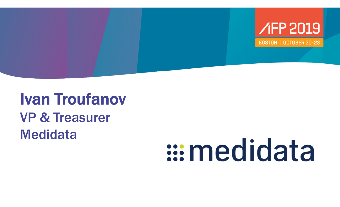

#### Ivan Troufanov VP & Treasurer **Medidata**

# s: medidata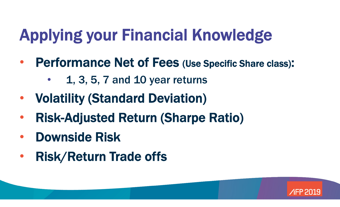# Applying your Financial Knowledge

- • Performance Net of Fees (Use Specific Share class) :
	- •1, 3, 5, 7 and 10 year returns
- •Volatility (Standard Deviation)
- $\bullet$ Risk-Adjusted Return (Sharpe Ratio)
- $\bullet$ Downside Risk
- $\bullet$ Risk/Return Trade offs

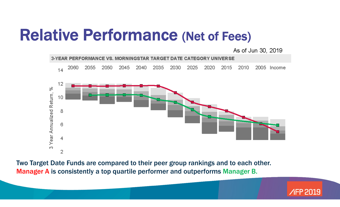#### Relative Performance (Net of Fees)

As of Jun 30, 2019



Two Target Date Funds are compared to their peer group rankings and to each other. Manager A is consistently a top quartile performer and outperforms Manager B.

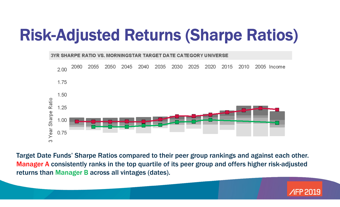#### Risk-Adjusted Returns (Sharpe Ratios)



Target Date Funds' Sharpe Ratios compared to their peer group rankings and against each other. Manager A consistently ranks in the top quartile of its peer group and offers higher risk-adjusted returns than Manager B across all vintages (dates).

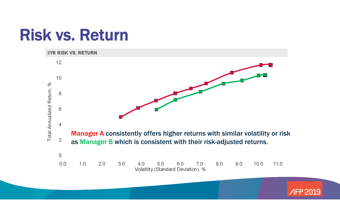#### Risk vs. Return



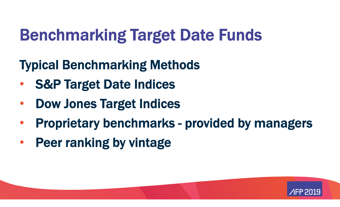## Benchmarking Target Date Funds

#### Typical Benchmarking Methods

- $\bullet$ S&P Target Date Indices
- $\bullet$ Dow Jones Target Indices
- •Proprietary benchmarks - provided by managers
- •Peer ranking by vintage

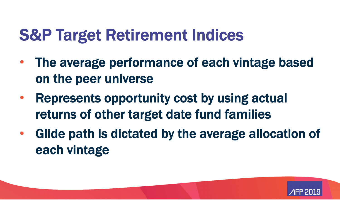#### S&P Target Retirement Indices

- $\bullet$  The average performance of each vintage based on the peer universe
- • Represents opportunity cost by using actual returns of other target date fund families
- $\bullet$  Glide path is dictated by the average allocation of each vintage

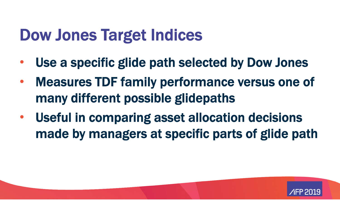#### Dow Jones Target Indices

- $\bullet$ Use a specific glide path selected by Dow Jones
- $\bullet$  Measures TDF family performance versus one of many different possible glidepaths
- $\bullet$  Useful in comparing asset allocation decisions made by managers at specific parts of glide path

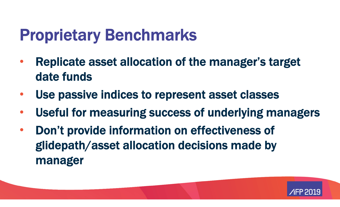#### Proprietary Benchmarks

- $\bullet$  Replicate asset allocation of the manager's target date funds
- $\bullet$ Use passive indices to represent asset classes
- $\bullet$ Useful for measuring success of underlying managers
- $\bullet$  Don't provide information on effectiveness of glidepath/asset allocation decisions made by manager

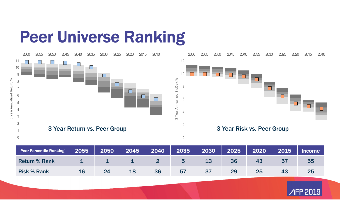#### Peer Universe Ranking



| <b>Peer Percentile Ranking</b> | 2055 | 2050 | $\sqrt{2045/}$ | $\vert$ 2040 | 2035 | 2030 | 2025 | 2020 | 2015 | <b>Income</b> |
|--------------------------------|------|------|----------------|--------------|------|------|------|------|------|---------------|
| <b>Return % Rank</b>           |      |      | ш.             |              |      | 13   | 36   |      |      | 55            |
| <b>Risk % Rank</b>             | 16   | 24   | 18             | <b>36</b>    | 57   |      |      | 25   | 43   | 25            |

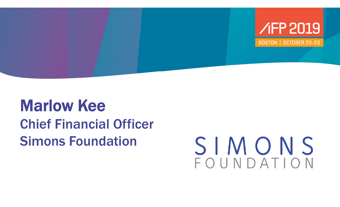

#### Marlow KeeChief Financial Officer Simons Foundation

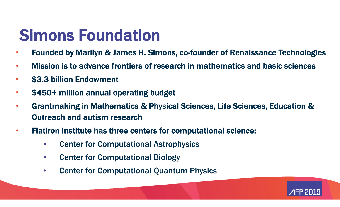#### Simons Foundation

- $\bullet$ Founded by Marilyn & James H. Simons, co-founder of Renaissance Technologies
- $\bullet$ Mission is to advance frontiers of research in mathematics and basic sciences
- $\bullet$ \$3.3 billion Endowment
- $\bullet$ \$450+ million annual operating budget
- $\bullet$  Grantmaking in Mathematics & Physical Sciences, Life Sciences, Education & Outreach and autism research
- $\bullet$  Flatiron Institute has three centers for computational science:
	- $\bullet$ Center for Computational Astrophysics
	- $\bullet$ Center for Computational Biology
	- $\bullet$ Center for Computational Quantum Physics

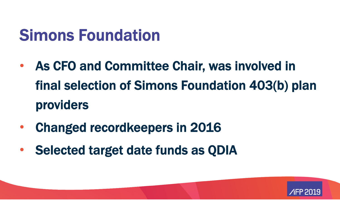#### Simons Foundation

- • As CFO and Committee Chair, was involved in final selection of Simons Foundation 403(b) plan providers
- $\bullet$ Changed recordkeepers in 2016
- •Selected target date funds as QDIA

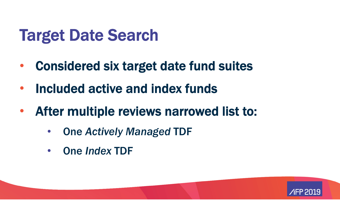#### Target Date Search

- $\bullet$ Considered six target date fund suites
- $\bullet$ Included active and index funds
- $\bullet$  After multiple reviews narrowed list to:
	- $\bullet$ One *Actively Managed* TDF
	- $\bullet$ One *Index* TDF

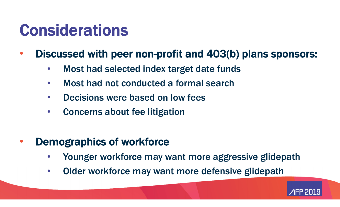#### Considerations

- $\bullet$  Discussed with peer non-profit and 403(b) plans sponsors:
	- $\bullet$ Most had selected index target date funds
	- $\bullet$ Most had not conducted a formal search
	- $\bullet$ Decisions were based on low fees
	- $\bullet$ Concerns about fee litigation
- $\bullet$  Demographics of workforce
	- $\bullet$ Younger workforce may want more aggressive glidepath
	- $\bullet$ Older workforce may want more defensive glidepath

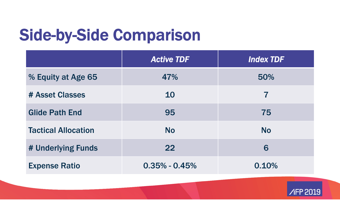### Side-by-Side Comparison

|                            | <b>Active TDF</b> | <b>Index TDF</b> |
|----------------------------|-------------------|------------------|
| % Equity at Age 65         | 47%               | 50%              |
| # Asset Classes            | 10                | 7                |
| <b>Glide Path End</b>      | 95                | 75               |
| <b>Tactical Allocation</b> | <b>No</b>         | <b>No</b>        |
| # Underlying Funds         | 22                | 6                |
| <b>Expense Ratio</b>       | $0.35\% - 0.45\%$ | 0.10%            |

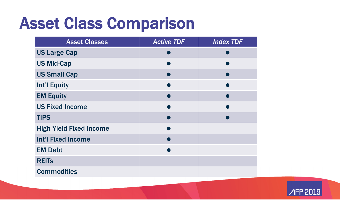#### Asset Class Comparison

| <b>Asset Classes</b>           | <b>Active TDF</b> | <b>Index TDF</b> |
|--------------------------------|-------------------|------------------|
| <b>US Large Cap</b>            |                   |                  |
| <b>US Mid-Cap</b>              |                   |                  |
| <b>US Small Cap</b>            |                   |                  |
| <b>Int'l Equity</b>            |                   |                  |
| <b>EM Equity</b>               |                   |                  |
| <b>US Fixed Income</b>         |                   |                  |
| <b>TIPS</b>                    |                   |                  |
| <b>High Yield Fixed Income</b> |                   |                  |
| <b>Int'l Fixed Income</b>      |                   |                  |
| <b>EM Debt</b>                 |                   |                  |
| <b>REITS</b>                   |                   |                  |
| <b>Commodities</b>             |                   |                  |

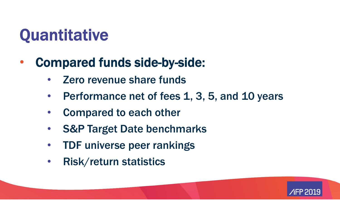### Quantitative

- $\bullet$  Compared funds side-by-side:
	- •Zero revenue share funds
	- $\bullet$ Performance net of fees 1, 3, 5, and 10 years
	- $\bullet$ Compared to each other
	- •S&P Target Date benchmarks
	- $\bullet$ TDF universe peer rankings
	- $\bullet$ Risk/return statistics

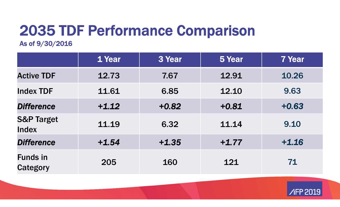#### 2035 TDF Performance Comparison

As of 9/30/2016

|                                       | 1 Year  | 3 Year  | 5 Year  | <b>7 Year</b> |
|---------------------------------------|---------|---------|---------|---------------|
| <b>Active TDF</b>                     | 12.73   | 7.67    | 12.91   | 10.26         |
| <b>Index TDF</b>                      | 11.61   | 6.85    | 12.10   | 9.63          |
| <b>Difference</b>                     | $+1.12$ | $+0.82$ | $+0.81$ | $+0.63$       |
| <b>S&amp;P Target</b><br><b>Index</b> | 11.19   | 6.32    | 11.14   | 9.10          |
| <b>Difference</b>                     | $+1.54$ | $+1.35$ | $+1.77$ | $+1.16$       |
| <b>Funds in</b><br><b>Category</b>    | 205     | 160     | 121     | 71            |

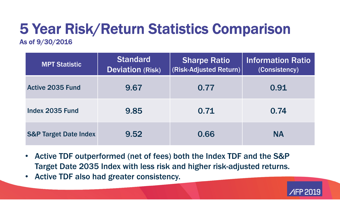### 5 Year Risk/Return Statistics Comparison

#### As of 9/30/2016

| <b>MPT Statistic</b>             | <b>Standard</b><br><b>Deviation (Risk)</b> | <b>Sharpe Ratio</b><br>(Risk-Adjusted Return) | <b>Information Ratio</b><br>(Consistency) |
|----------------------------------|--------------------------------------------|-----------------------------------------------|-------------------------------------------|
| <b>Active 2035 Fund</b>          | 9.67                                       | 0.77                                          | 0.91                                      |
| Index 2035 Fund                  | 9.85                                       | 0.71                                          | 0.74                                      |
| <b>S&amp;P Target Date Index</b> | 9.52                                       | 0.66                                          | <b>NA</b>                                 |

- • Active TDF outperformed (net of fees) both the Index TDF and the S&P Target Date 2035 Index with less risk and higher risk-adjusted returns.
- $\bullet$ Active TDF also had greater consistency.

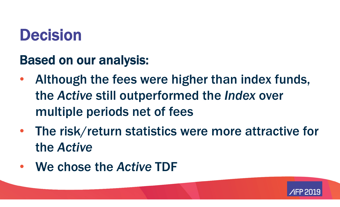#### Decision

#### Based on our analysis:

- $\bullet$  Although the fees were higher than index funds, the *Active* still outperformed the *Index* over multiple periods net of fees
- $\bullet$  The risk/return statistics were more attractive for the *Active*
- We chose the *Active* TDF

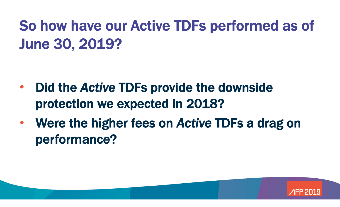So how have our Active TDFs performed as of June 30, 2019?

- • Did the *Active* TDFs provide the downside protection we expected in 2018?
- $\bullet$  Were the higher fees on *Active* TDFs a drag on performance?

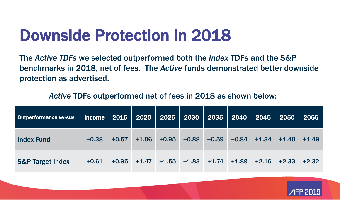#### Downside Protection in 2018

The *Active TDFs* we selected outperformed both the *Index* TDFs and the S&P benchmarks in 2018, net of fees. The *Active* funds demonstrated better downside protection as advertised.

#### *Active* TDFs outperformed net of fees in 2018 as shown below:

| <b>Outperformance versus:</b> | $ $ Income $ $ 2015 $ $ |         |         | 2020   2025                             | $2030$ $ $ | 2035    | $\begin{array}{ c c c }\n\hline\n\text{2040}\n\hline\n\end{array}$ | 2045    | 2050    | 2055    |
|-------------------------------|-------------------------|---------|---------|-----------------------------------------|------------|---------|--------------------------------------------------------------------|---------|---------|---------|
| <b>Index Fund</b>             | $+0.38$                 | $+0.57$ | $+1.06$ | $+0.95$                                 | $+0.88$    | $+0.59$ | $+0.84$                                                            | $+1.34$ | $+1.40$ | $+1.49$ |
| <b>S&amp;P Target Index</b>   | $+0.61$                 |         |         | $+0.95$ $+1.47$ $+1.55$ $+1.83$ $+1.74$ |            |         | $+1.89$                                                            | $+2.16$ | $+2.33$ | $+2.32$ |

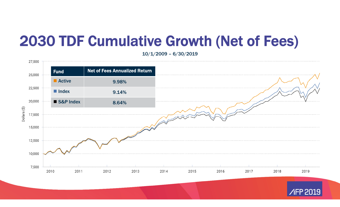#### 2030 TDF Cumulative Growth (Net of Fees)

10/1/2009 – 6/30/2019

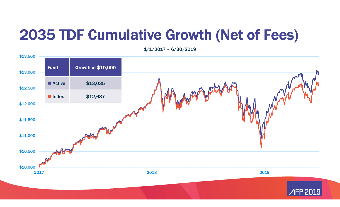#### 2035 TDF Cumulative Growth (Net of Fees)

\$10,000 \$10,500 \$11,000 \$11,500 \$12,000 \$12,500 \$13,000 \$13,500 2017 2018 20192019 Fund Growth of \$10,000 Active \$13,035  $\blacksquare$  Index \$12,687

1/1/2017 – 6/30/2019

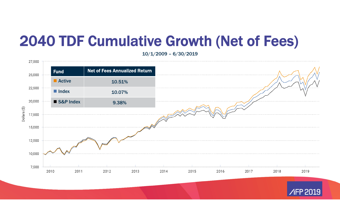#### 2040 TDF Cumulative Growth (Net of Fees)

10/1/2009 – 6/30/2019

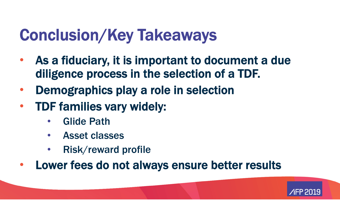#### Conclusion/Key Takeaways

- $\bullet$  As a fiduciary, it is important to document a due diligence process in the selection of a TDF.
- $\bullet$ Demographics play a role in selection
- $\bullet$  TDF families vary widely:
	- $\bullet$ Glide Path
	- $\bullet$ Asset classes
	- $\bullet$ Risk/reward profile
- $\bullet$ Lower fees do not always ensure better results